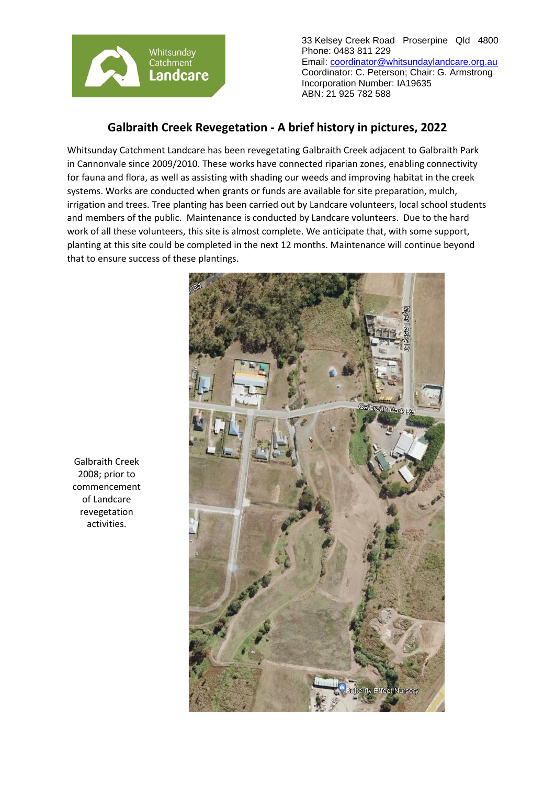

33 Kelsey Creek Road Proserpine Qld 4800 Phone: 0483 811 229 Email: [coordinator@whitsundaylandcare.org.au](mailto:coordinator@whitsundaylandcare.org.au) Coordinator: C. Peterson; Chair: G. Armstrong Incorporation Number: IA19635 ABN: 21 925 782 588

## **Galbraith Creek Revegetation - A brief history in pictures, 2022**

Whitsunday Catchment Landcare has been revegetating Galbraith Creek adjacent to Galbraith Park in Cannonvale since 2009/2010. These works have connected riparian zones, enabling connectivity for fauna and flora, as well as assisting with shading our weeds and improving habitat in the creek systems. Works are conducted when grants or funds are available for site preparation, mulch, irrigation and trees. Tree planting has been carried out by Landcare volunteers, local school students and members of the public. Maintenance is conducted by Landcare volunteers. Due to the hard work of all these volunteers, this site is almost complete. We anticipate that, with some support, planting at this site could be completed in the next 12 months. Maintenance will continue beyond that to ensure success of these plantings.



Galbraith Creek 2008; prior to commencement of Landcare revegetation activities.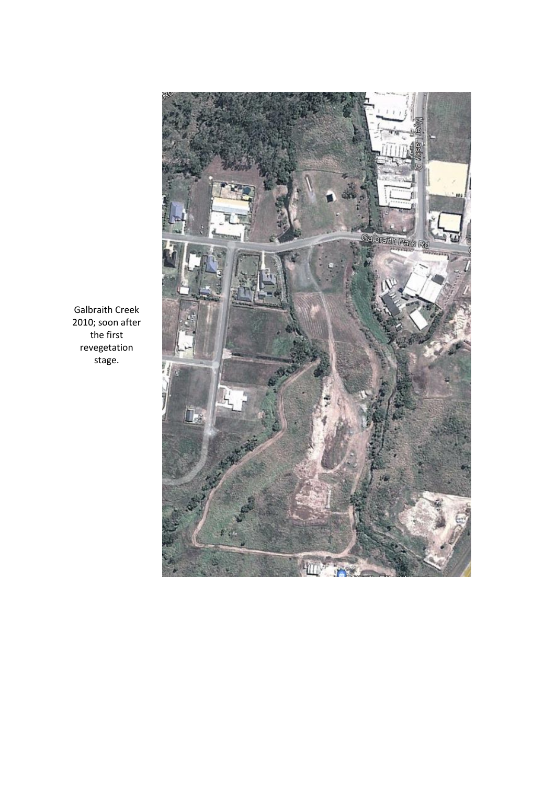

Galbraith Creek 2010; soon after the first revegetation stage.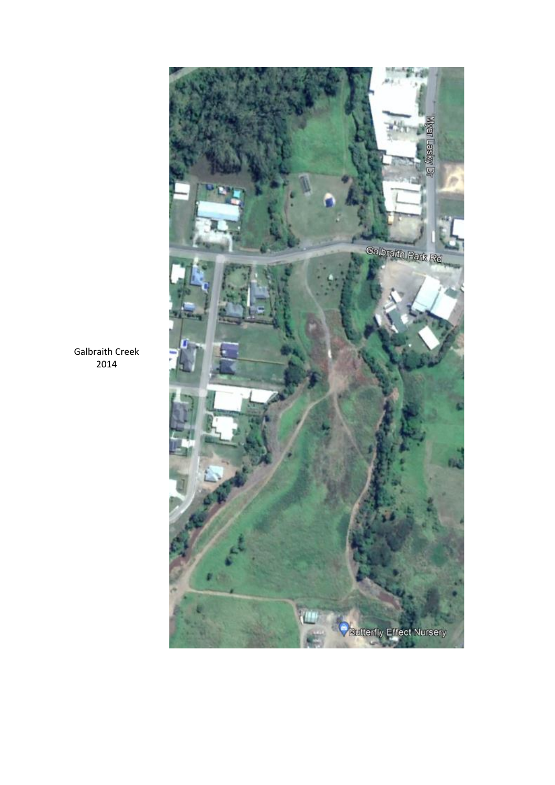

Galbraith Creek 2014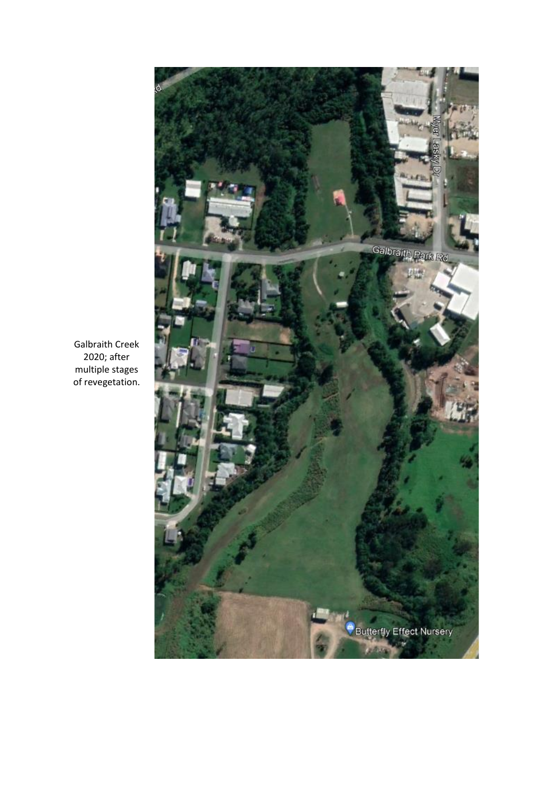

Galbraith Creek 2020; after multiple stages of revegetation.